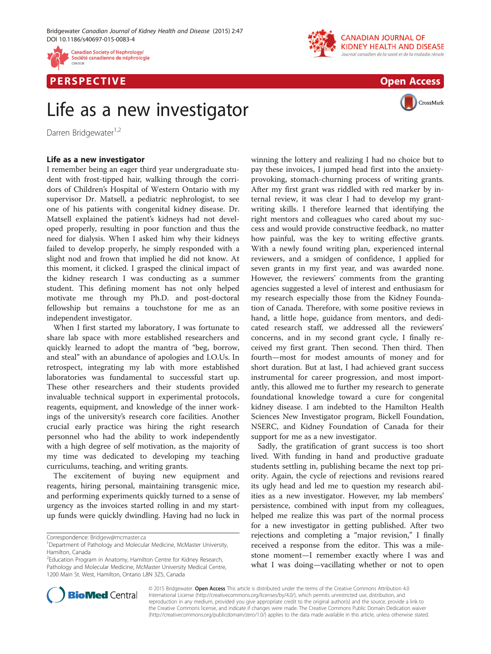







CrossMark

## Life as a new investigator

Darren Bridgewater<sup>1,2</sup>

I remember being an eager third year undergraduate student with frost-tipped hair, walking through the corridors of Children's Hospital of Western Ontario with my supervisor Dr. Matsell, a pediatric nephrologist, to see one of his patients with congenital kidney disease. Dr. Matsell explained the patient's kidneys had not developed properly, resulting in poor function and thus the need for dialysis. When I asked him why their kidneys failed to develop properly, he simply responded with a slight nod and frown that implied he did not know. At this moment, it clicked. I grasped the clinical impact of the kidney research I was conducting as a summer student. This defining moment has not only helped motivate me through my Ph.D. and post-doctoral fellowship but remains a touchstone for me as an independent investigator.

When I first started my laboratory, I was fortunate to share lab space with more established researchers and quickly learned to adopt the mantra of "beg, borrow, and steal" with an abundance of apologies and I.O.Us. In retrospect, integrating my lab with more established laboratories was fundamental to successful start up. These other researchers and their students provided invaluable technical support in experimental protocols, reagents, equipment, and knowledge of the inner workings of the university's research core facilities. Another crucial early practice was hiring the right research personnel who had the ability to work independently with a high degree of self motivation, as the majority of my time was dedicated to developing my teaching curriculums, teaching, and writing grants.

The excitement of buying new equipment and reagents, hiring personal, maintaining transgenic mice, and performing experiments quickly turned to a sense of urgency as the invoices started rolling in and my startup funds were quickly dwindling. Having had no luck in

winning the lottery and realizing I had no choice but to pay these invoices, I jumped head first into the anxietyprovoking, stomach-churning process of writing grants. After my first grant was riddled with red marker by internal review, it was clear I had to develop my grantwriting skills. I therefore learned that identifying the right mentors and colleagues who cared about my success and would provide constructive feedback, no matter how painful, was the key to writing effective grants. With a newly found writing plan, experienced internal reviewers, and a smidgen of confidence, I applied for seven grants in my first year, and was awarded none. However, the reviewers' comments from the granting agencies suggested a level of interest and enthusiasm for my research especially those from the Kidney Foundation of Canada. Therefore, with some positive reviews in hand, a little hope, guidance from mentors, and dedicated research staff, we addressed all the reviewers' concerns, and in my second grant cycle, I finally received my first grant. Then second. Then third. Then fourth—most for modest amounts of money and for short duration. But at last, I had achieved grant success instrumental for career progression, and most importantly, this allowed me to further my research to generate foundational knowledge toward a cure for congenital kidney disease. I am indebted to the Hamilton Health Sciences New Investigator program, Bickell Foundation, NSERC, and Kidney Foundation of Canada for their support for me as a new investigator.

Sadly, the gratification of grant success is too short lived. With funding in hand and productive graduate students settling in, publishing became the next top priority. Again, the cycle of rejections and revisions reared its ugly head and led me to question my research abilities as a new investigator. However, my lab members' persistence, combined with input from my colleagues, helped me realize this was part of the normal process for a new investigator in getting published. After two rejections and completing a "major revision," I finally received a response from the editor. This was a milestone moment—I remember exactly where I was and what I was doing—vacillating whether or not to open



© 2015 Bridgewater. Open Access This article is distributed under the terms of the Creative Commons Attribution 4.0 International License [\(http://creativecommons.org/licenses/by/4.0/](http://creativecommons.org/licenses/by/4.0/)), which permits unrestricted use, distribution, and reproduction in any medium, provided you give appropriate credit to the original author(s) and the source, provide a link to the Creative Commons license, and indicate if changes were made. The Creative Commons Public Domain Dedication waiver [\(http://creativecommons.org/publicdomain/zero/1.0/](http://creativecommons.org/publicdomain/zero/1.0/)) applies to the data made available in this article, unless otherwise stated.

Correspondence: [Bridgew@mcmaster.ca](mailto:Bridgew@mcmaster.ca) <sup>1</sup>

<sup>&</sup>lt;sup>1</sup>Department of Pathology and Molecular Medicine, McMaster University, Hamilton, Canada

<sup>&</sup>lt;sup>2</sup>Education Program in Anatomy, Hamilton Centre for Kidney Research, Pathology and Molecular Medicine, McMaster University Medical Centre, 1200 Main St. West, Hamilton, Ontario L8N 3Z5, Canada